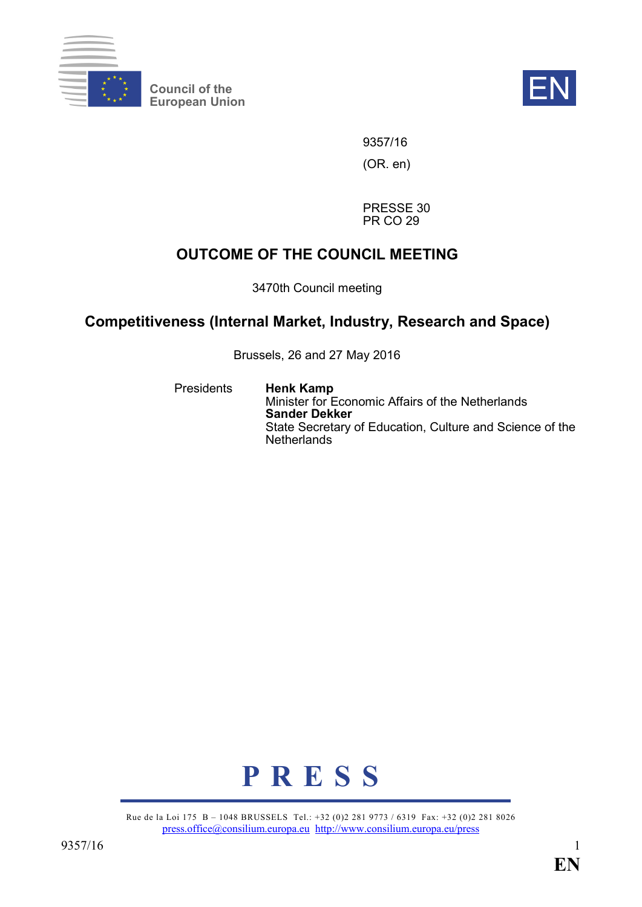

**Council of the** Council of the **EN**<br>European Union



9357/16 (OR. en)

PRESSE 30 PR CO 29

# **OUTCOME OF THE COUNCIL MEETING**

3470th Council meeting

## **Competitiveness (Internal Market, Industry, Research and Space)**

Brussels, 26 and 27 May 2016

Presidents **Henk Kamp** Minister for Economic Affairs of the Netherlands **Sander Dekker** State Secretary of Education, Culture and Science of the **Netherlands** 



Rue de la Loi 175 B – 1048 BRUSSELS Tel.: +32 (0)2 281 9773 / 6319 Fax: +32 (0)2 281 8026 [press.office@consilium.europa.eu](mailto:press.office@consilium.europa.eu) <http://www.consilium.europa.eu/press>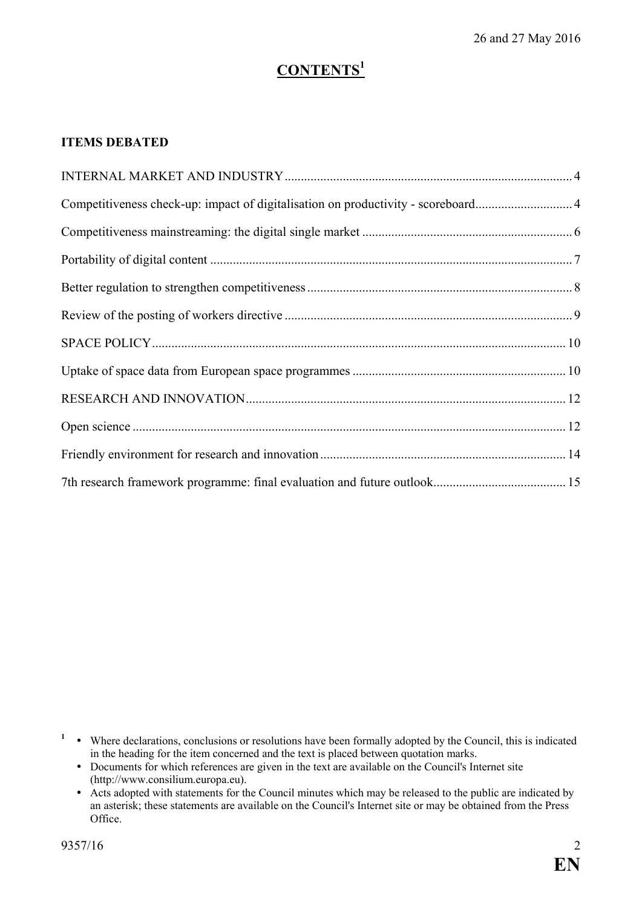# **CONTENTS<sup>1</sup>**

## **ITEMS DEBATED**

| Competitiveness check-up: impact of digitalisation on productivity - scoreboard4 |  |
|----------------------------------------------------------------------------------|--|
|                                                                                  |  |
|                                                                                  |  |
|                                                                                  |  |
|                                                                                  |  |
|                                                                                  |  |
|                                                                                  |  |
|                                                                                  |  |
|                                                                                  |  |
|                                                                                  |  |
|                                                                                  |  |

<sup>1</sup> • Where declarations, conclusions or resolutions have been formally adopted by the Council, this is indicated in the heading for the item concerned and the text is placed between quotation marks.

- Documents for which references are given in the text are available on the Council's Internet site (http://www.consilium.europa.eu).
- Acts adopted with statements for the Council minutes which may be released to the public are indicated by an asterisk; these statements are available on the Council's Internet site or may be obtained from the Press Office.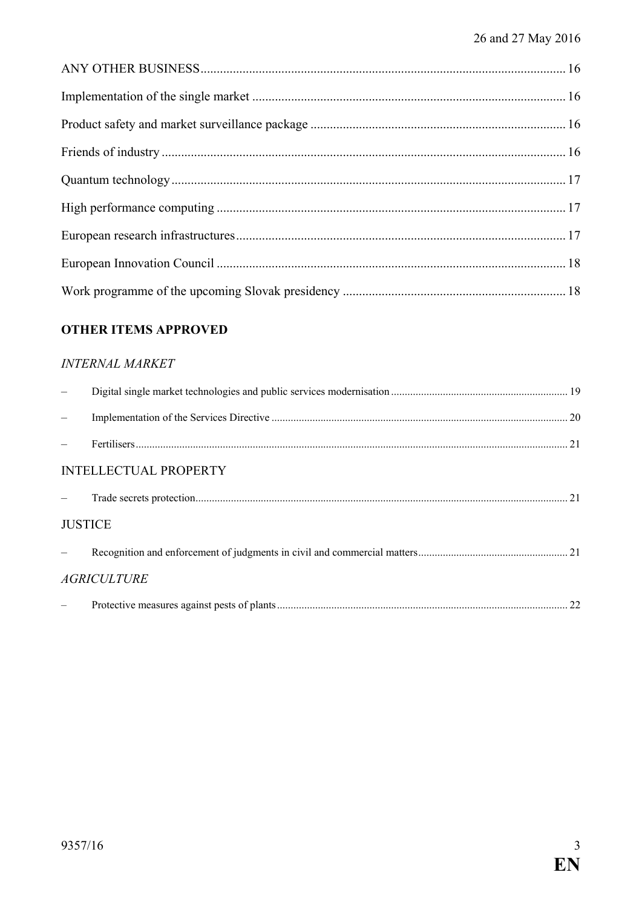## **OTHER ITEMS APPROVED**

## **INTERNAL MARKET**

|                | <b>INTELLECTUAL PROPERTY</b> |  |
|----------------|------------------------------|--|
|                |                              |  |
| <b>JUSTICE</b> |                              |  |
|                |                              |  |
|                | <b>AGRICULTURE</b>           |  |
|                |                              |  |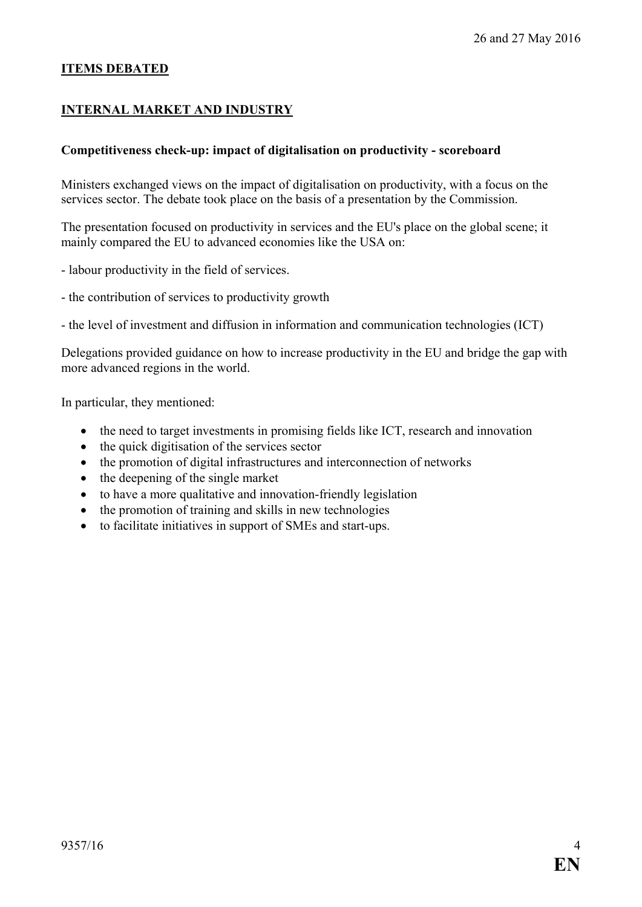#### **ITEMS DEBATED**

#### <span id="page-3-0"></span>**INTERNAL MARKET AND INDUSTRY**

#### <span id="page-3-1"></span>**Competitiveness check-up: impact of digitalisation on productivity - scoreboard**

Ministers exchanged views on the impact of digitalisation on productivity, with a focus on the services sector. The debate took place on the basis of a presentation by the Commission.

The presentation focused on productivity in services and the EU's place on the global scene; it mainly compared the EU to advanced economies like the USA on:

- labour productivity in the field of services.
- the contribution of services to productivity growth

- the level of investment and diffusion in information and communication technologies (ICT)

Delegations provided guidance on how to increase productivity in the EU and bridge the gap with more advanced regions in the world.

In particular, they mentioned:

- the need to target investments in promising fields like ICT, research and innovation
- the quick digitisation of the services sector
- the promotion of digital infrastructures and interconnection of networks
- the deepening of the single market
- to have a more qualitative and innovation-friendly legislation
- the promotion of training and skills in new technologies
- to facilitate initiatives in support of SMEs and start-ups.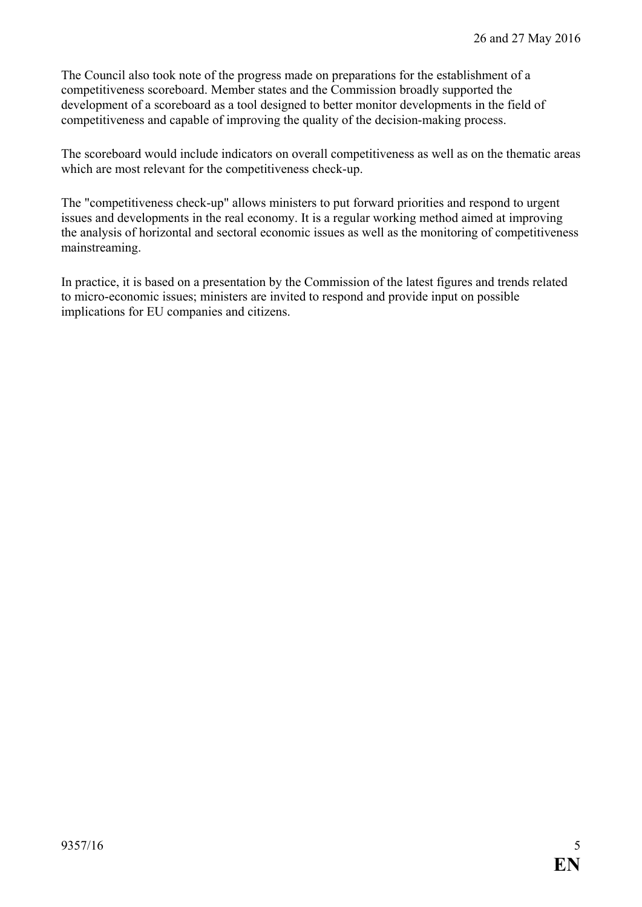The Council also took note of the progress made on preparations for the establishment of a competitiveness scoreboard. Member states and the Commission broadly supported the development of a scoreboard as a tool designed to better monitor developments in the field of competitiveness and capable of improving the quality of the decision-making process.

The scoreboard would include indicators on overall competitiveness as well as on the thematic areas which are most relevant for the competitiveness check-up.

The "competitiveness check-up" allows ministers to put forward priorities and respond to urgent issues and developments in the real economy. It is a regular working method aimed at improving the analysis of horizontal and sectoral economic issues as well as the monitoring of competitiveness mainstreaming.

In practice, it is based on a presentation by the Commission of the latest figures and trends related to micro-economic issues; ministers are invited to respond and provide input on possible implications for EU companies and citizens.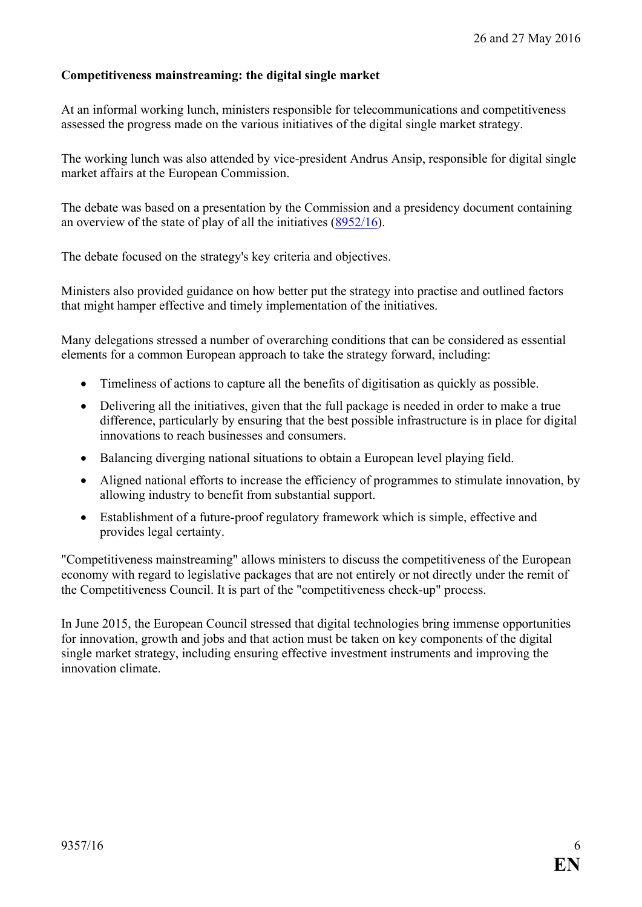### <span id="page-5-0"></span>**Competitiveness mainstreaming: the digital single market**

At an informal working lunch, ministers responsible for telecommunications and competitiveness assessed the progress made on the various initiatives of the digital single market strategy.

The working lunch was also attended by vice-president Andrus Ansip, responsible for digital single market affairs at the European Commission.

The debate was based on a presentation by the Commission and a presidency document containing an overview of the state of play of all the initiatives [\(8952/16\)](http://data.consilium.europa.eu/doc/document/ST-8952-2016-INIT/en/pdf).

The debate focused on the strategy's key criteria and objectives.

Ministers also provided guidance on how better put the strategy into practise and outlined factors that might hamper effective and timely implementation of the initiatives.

Many delegations stressed a number of overarching conditions that can be considered as essential elements for a common European approach to take the strategy forward, including:

- Timeliness of actions to capture all the benefits of digitisation as quickly as possible.
- Delivering all the initiatives, given that the full package is needed in order to make a true difference, particularly by ensuring that the best possible infrastructure is in place for digital innovations to reach businesses and consumers.
- Balancing diverging national situations to obtain a European level playing field.
- Aligned national efforts to increase the efficiency of programmes to stimulate innovation, by allowing industry to benefit from substantial support.
- Establishment of a future-proof regulatory framework which is simple, effective and provides legal certainty.

"Competitiveness mainstreaming" allows ministers to discuss the competitiveness of the European economy with regard to legislative packages that are not entirely or not directly under the remit of the Competitiveness Council. It is part of the "competitiveness check-up" process.

In June 2015, the European Council stressed that digital technologies bring immense opportunities for innovation, growth and jobs and that action must be taken on key components of the digital single market strategy, including ensuring effective investment instruments and improving the innovation climate.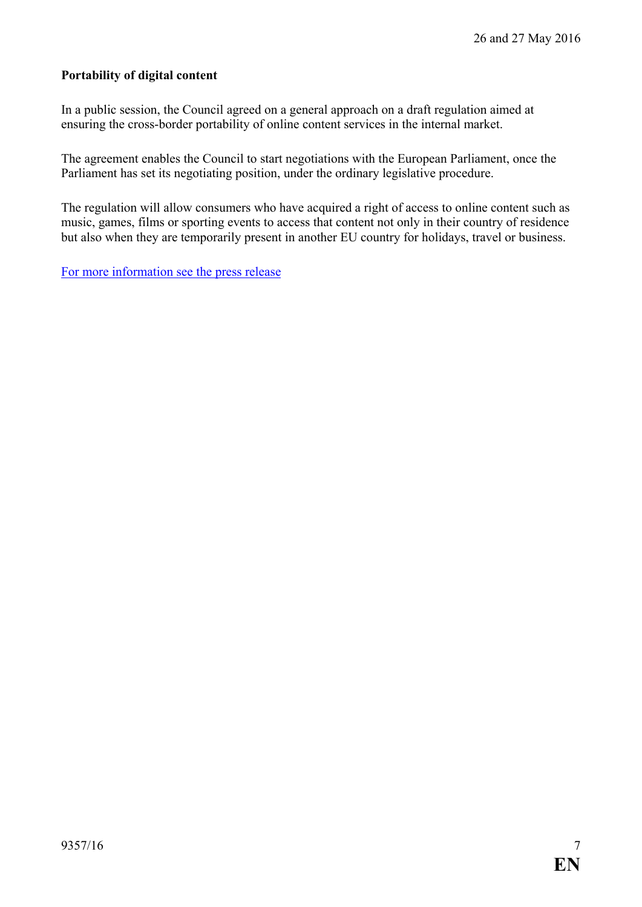#### <span id="page-6-0"></span>**Portability of digital content**

In a public session, the Council agreed on a general approach on a draft regulation aimed at ensuring the cross-border portability of online content services in the internal market.

The agreement enables the Council to start negotiations with the European Parliament, once the Parliament has set its negotiating position, under the ordinary legislative procedure.

The regulation will allow consumers who have acquired a right of access to online content such as music, games, films or sporting events to access that content not only in their country of residence but also when they are temporarily present in another EU country for holidays, travel or business.

[For more information see the press release](http://www.consilium.europa.eu/en/press/press-releases/2016/05/26-portability-digital-content/)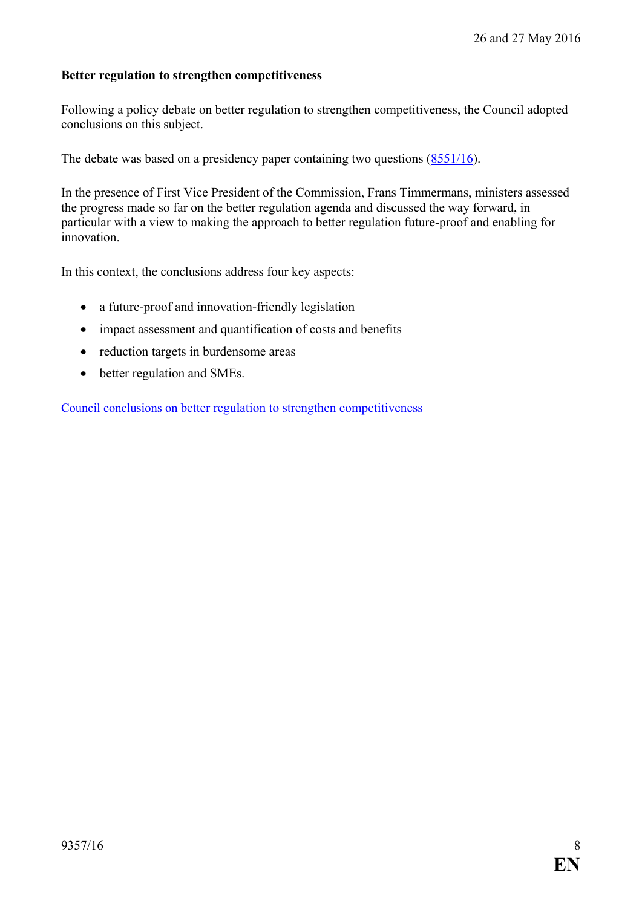#### <span id="page-7-0"></span>**Better regulation to strengthen competitiveness**

Following a policy debate on better regulation to strengthen competitiveness, the Council adopted conclusions on this subject.

The debate was based on a presidency paper containing two questions [\(8551/16\)](http://data.consilium.europa.eu/doc/document/ST-8551-2016-INIT/en/pdf).

In the presence of First Vice President of the Commission, Frans Timmermans, ministers assessed the progress made so far on the better regulation agenda and discussed the way forward, in particular with a view to making the approach to better regulation future-proof and enabling for innovation.

In this context, the conclusions address four key aspects:

- a future-proof and innovation-friendly legislation
- impact assessment and quantification of costs and benefits
- reduction targets in burdensome areas
- better regulation and SMEs.

[Council conclusions on better regulation](http://www.consilium.europa.eu/en/press/press-releases/2016/05/26-conclusions-better-regulation/) to strengthen competitiveness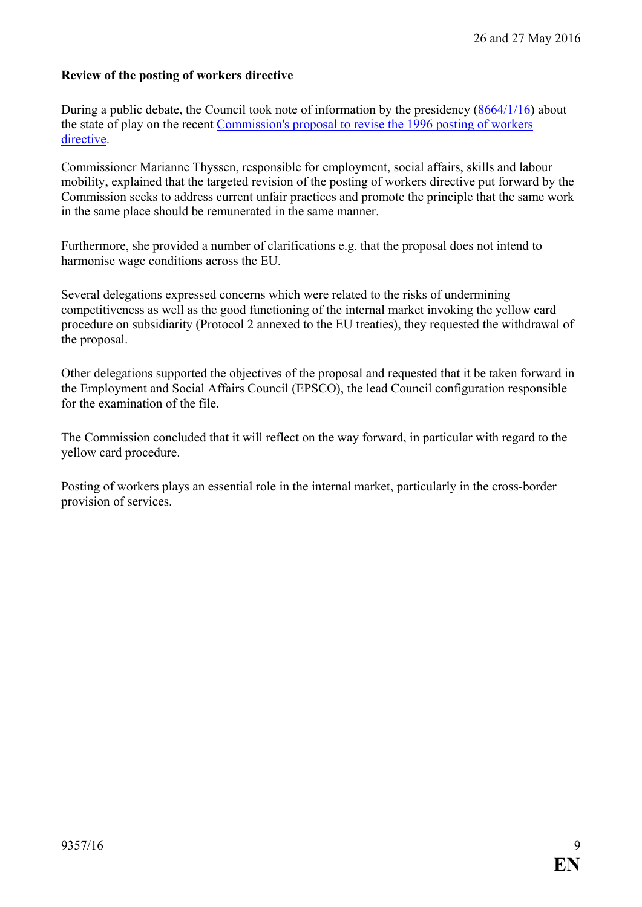## <span id="page-8-0"></span>**Review of the posting of workers directive**

During a public debate, the Council took note of information by the presidency [\(8664/1/16\)](http://data.consilium.europa.eu/doc/document/ST-8664-2016-REV-1/en/pdf) about the state of play on the recent [Commission's proposal to revise the 1996 posting of workers](http://ec.europa.eu/social/main.jsp?langId=en&catId=89&newsId=2488&furtherNews=yes)  [directive.](http://ec.europa.eu/social/main.jsp?langId=en&catId=89&newsId=2488&furtherNews=yes)

Commissioner Marianne Thyssen, responsible for employment, social affairs, skills and labour mobility, explained that the targeted revision of the posting of workers directive put forward by the Commission seeks to address current unfair practices and promote the principle that the same work in the same place should be remunerated in the same manner.

Furthermore, she provided a number of clarifications e.g. that the proposal does not intend to harmonise wage conditions across the EU.

Several delegations expressed concerns which were related to the risks of undermining competitiveness as well as the good functioning of the internal market invoking the yellow card procedure on subsidiarity (Protocol 2 annexed to the EU treaties), they requested the withdrawal of the proposal.

Other delegations supported the objectives of the proposal and requested that it be taken forward in the Employment and Social Affairs Council (EPSCO), the lead Council configuration responsible for the examination of the file.

The Commission concluded that it will reflect on the way forward, in particular with regard to the yellow card procedure.

Posting of workers plays an essential role in the internal market, particularly in the cross-border provision of services.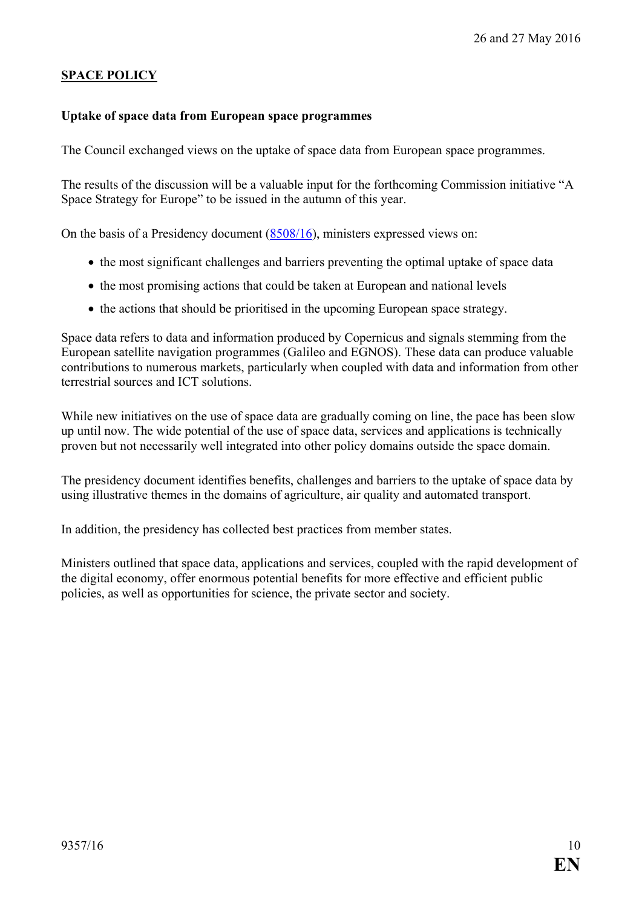## <span id="page-9-0"></span>**SPACE POLICY**

#### <span id="page-9-1"></span>**Uptake of space data from European space programmes**

The Council exchanged views on the uptake of space data from European space programmes.

The results of the discussion will be a valuable input for the forthcoming Commission initiative "A Space Strategy for Europe" to be issued in the autumn of this year.

On the basis of a Presidency document [\(8508/16\)](http://data.consilium.europa.eu/doc/document/ST-8508-2016-INIT/en/pdf), ministers expressed views on:

- the most significant challenges and barriers preventing the optimal uptake of space data
- the most promising actions that could be taken at European and national levels
- the actions that should be prioritised in the upcoming European space strategy.

Space data refers to data and information produced by Copernicus and signals stemming from the European satellite navigation programmes (Galileo and EGNOS). These data can produce valuable contributions to numerous markets, particularly when coupled with data and information from other terrestrial sources and ICT solutions.

While new initiatives on the use of space data are gradually coming on line, the pace has been slow up until now. The wide potential of the use of space data, services and applications is technically proven but not necessarily well integrated into other policy domains outside the space domain.

The presidency document identifies benefits, challenges and barriers to the uptake of space data by using illustrative themes in the domains of agriculture, air quality and automated transport.

In addition, the presidency has collected best practices from member states.

Ministers outlined that space data, applications and services, coupled with the rapid development of the digital economy, offer enormous potential benefits for more effective and efficient public policies, as well as opportunities for science, the private sector and society.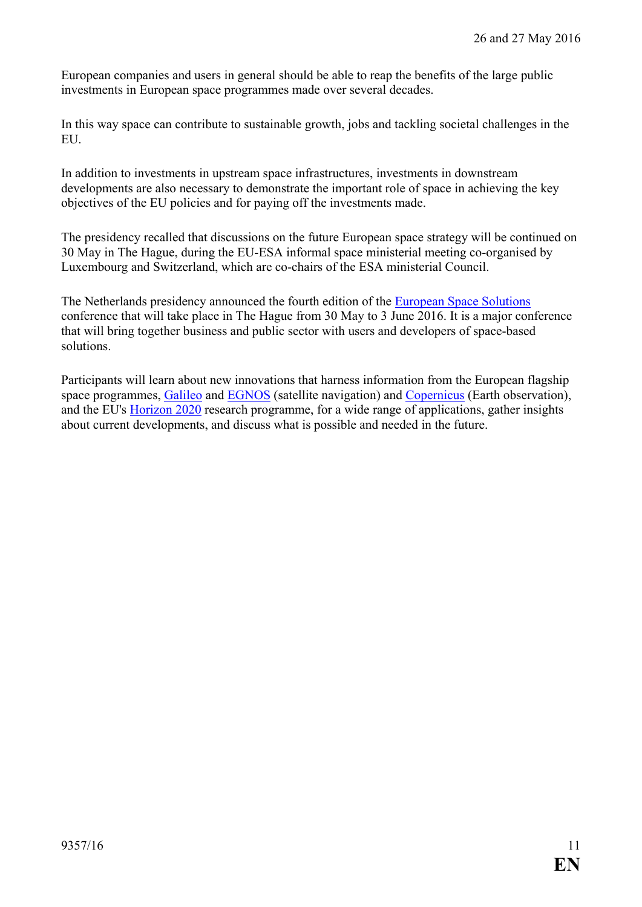European companies and users in general should be able to reap the benefits of the large public investments in European space programmes made over several decades.

In this way space can contribute to sustainable growth, jobs and tackling societal challenges in the EU.

In addition to investments in upstream space infrastructures, investments in downstream developments are also necessary to demonstrate the important role of space in achieving the key objectives of the EU policies and for paying off the investments made.

The presidency recalled that discussions on the future European space strategy will be continued on 30 May in The Hague, during the EU-ESA informal space ministerial meeting co-organised by Luxembourg and Switzerland, which are co-chairs of the ESA ministerial Council.

The Netherlands presidency announced the fourth edition of the [European Space Solutions](http://www.european-space-solutions.eu/index.php) conference that will take place in The Hague from 30 May to 3 June 2016. It is a major conference that will bring together business and public sector with users and developers of space-based solutions.

Participants will learn about new innovations that harness information from the European flagship space programmes, [Galileo](http://ec.europa.eu/growth/sectors/space/galileo/) and [EGNOS](http://ec.europa.eu/growth/sectors/space/egnos/) (satellite navigation) and [Copernicus](http://ec.europa.eu/growth/sectors/space/copernicus/index_en.htm) (Earth observation), and the EU's [Horizon 2020](https://ec.europa.eu/programmes/horizon2020/) research programme, for a wide range of applications, gather insights about current developments, and discuss what is possible and needed in the future.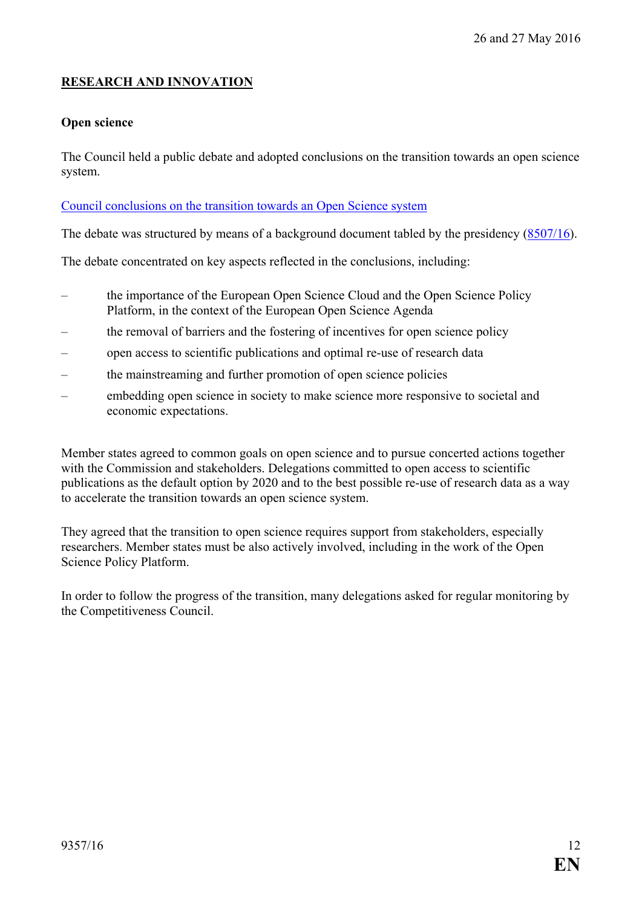## <span id="page-11-0"></span>**RESEARCH AND INNOVATION**

#### <span id="page-11-1"></span>**Open science**

The Council held a public debate and adopted conclusions on the transition towards an open science system.

#### [Council conclusions on the transition towards an Open](http://data.consilium.europa.eu/doc/document/ST-9526-2016-INIT/en/pdf) Science system

The debate was structured by means of a background document tabled by the presidency [\(8507/16\)](http://data.consilium.europa.eu/doc/document/ST-8507-2016-INIT/en/pdf).

The debate concentrated on key aspects reflected in the conclusions, including:

- the importance of the European Open Science Cloud and the Open Science Policy Platform, in the context of the European Open Science Agenda
- the removal of barriers and the fostering of incentives for open science policy
- open access to scientific publications and optimal re-use of research data
- the mainstreaming and further promotion of open science policies
- embedding open science in society to make science more responsive to societal and economic expectations.

Member states agreed to common goals on open science and to pursue concerted actions together with the Commission and stakeholders. Delegations committed to open access to scientific publications as the default option by 2020 and to the best possible re-use of research data as a way to accelerate the transition towards an open science system.

They agreed that the transition to open science requires support from stakeholders, especially researchers. Member states must be also actively involved, including in the work of the Open Science Policy Platform.

In order to follow the progress of the transition, many delegations asked for regular monitoring by the Competitiveness Council.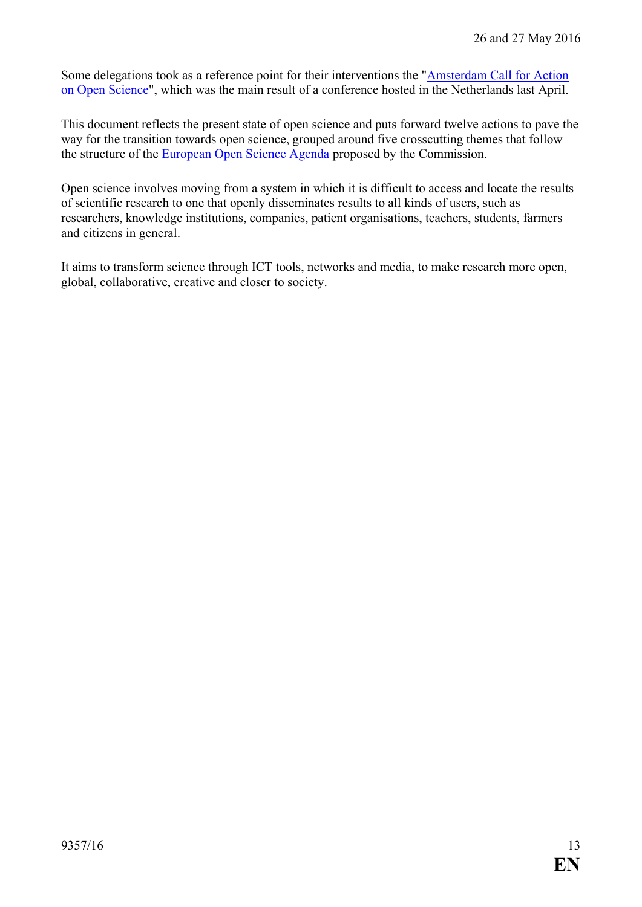Some delegations took as a reference point for their interventions the ["Amsterdam Call for Action](http://english.eu2016.nl/documents/reports/2016/04/04/amsterdam-call-for-action-on-open-science)  [on Open Science"](http://english.eu2016.nl/documents/reports/2016/04/04/amsterdam-call-for-action-on-open-science), which was the main result of a conference hosted in the Netherlands last April.

This document reflects the present state of open science and puts forward twelve actions to pave the way for the transition towards open science, grouped around five crosscutting themes that follow the structure of the [European Open Science Agenda](https://ec.europa.eu/digital-single-market/en/open-science) proposed by the Commission.

Open science involves moving from a system in which it is difficult to access and locate the results of scientific research to one that openly disseminates results to all kinds of users, such as researchers, knowledge institutions, companies, patient organisations, teachers, students, farmers and citizens in general.

It aims to transform science through ICT tools, networks and media, to make research more open, global, collaborative, creative and closer to society.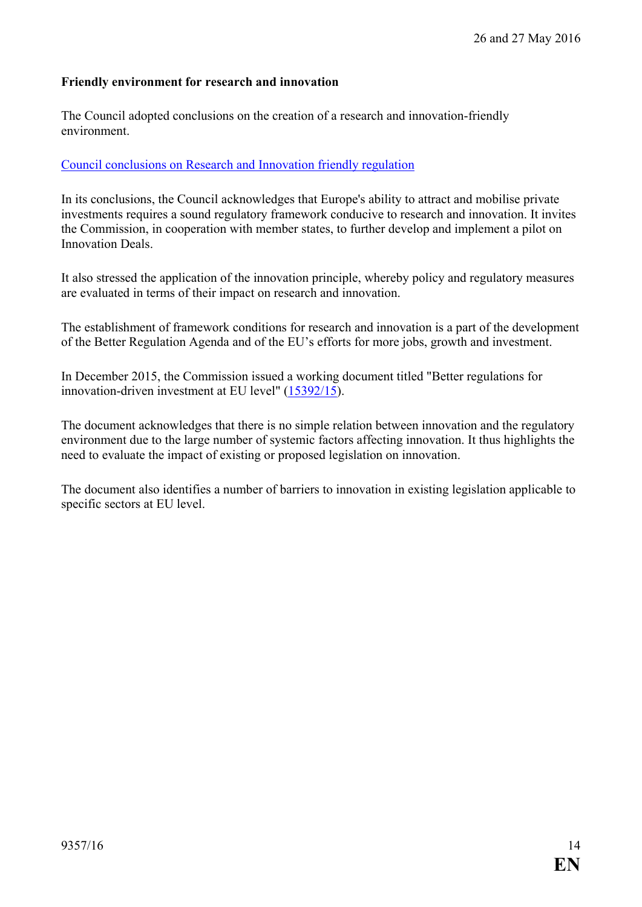### <span id="page-13-0"></span>**Friendly environment for research and innovation**

The Council adopted conclusions on the creation of a research and innovation-friendly environment.

#### [Council conclusions on Research and Innovation friendly regulation](http://data.consilium.europa.eu/doc/document/ST-9510-2016-INIT/en/pdf)

In its conclusions, the Council acknowledges that Europe's ability to attract and mobilise private investments requires a sound regulatory framework conducive to research and innovation. It invites the Commission, in cooperation with member states, to further develop and implement a pilot on Innovation Deals.

It also stressed the application of the innovation principle, whereby policy and regulatory measures are evaluated in terms of their impact on research and innovation.

The establishment of framework conditions for research and innovation is a part of the development of the Better Regulation Agenda and of the EU's efforts for more jobs, growth and investment.

In December 2015, the Commission issued a working document titled "Better regulations for innovation-driven investment at EU level" [\(15392/15\)](http://data.consilium.europa.eu/doc/document/ST-15392-2015-INIT/en/pdf).

The document acknowledges that there is no simple relation between innovation and the regulatory environment due to the large number of systemic factors affecting innovation. It thus highlights the need to evaluate the impact of existing or proposed legislation on innovation.

The document also identifies a number of barriers to innovation in existing legislation applicable to specific sectors at EU level.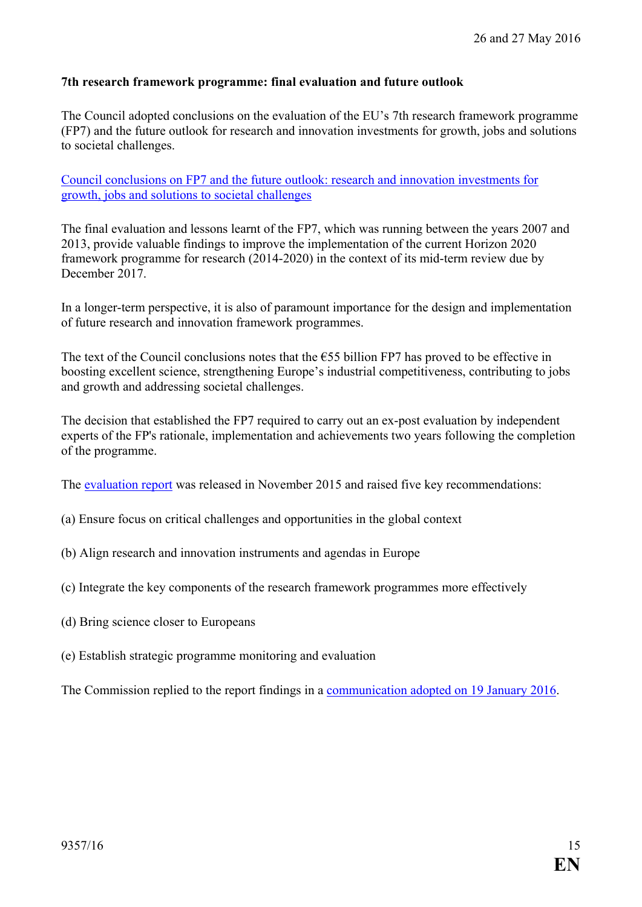### <span id="page-14-0"></span>**7th research framework programme: final evaluation and future outlook**

The Council adopted conclusions on the evaluation of the EU's 7th research framework programme (FP7) and the future outlook for research and innovation investments for growth, jobs and solutions to societal challenges.

[Council conclusions on FP7 and the future outlook: research and innovation investments for](http://data.consilium.europa.eu/doc/document/ST-9527-2016-INIT/en/pdf)  [growth, jobs and solutions to societal challenges](http://data.consilium.europa.eu/doc/document/ST-9527-2016-INIT/en/pdf)

The final evaluation and lessons learnt of the FP7, which was running between the years 2007 and 2013, provide valuable findings to improve the implementation of the current Horizon 2020 framework programme for research (2014-2020) in the context of its mid-term review due by December 2017.

In a longer-term perspective, it is also of paramount importance for the design and implementation of future research and innovation framework programmes.

The text of the Council conclusions notes that the  $\epsilon$ 55 billion FP7 has proved to be effective in boosting excellent science, strengthening Europe's industrial competitiveness, contributing to jobs and growth and addressing societal challenges.

The decision that established the FP7 required to carry out an ex-post evaluation by independent experts of the FP's rationale, implementation and achievements two years following the completion of the programme.

The [evaluation report](https://www.ffg.at/sites/default/files/downloads/page/fp7_final_evaluation_expert_group_report.pdf) was released in November 2015 and raised five key recommendations:

- (a) Ensure focus on critical challenges and opportunities in the global context
- (b) Align research and innovation instruments and agendas in Europe
- (c) Integrate the key components of the research framework programmes more effectively
- (d) Bring science closer to Europeans
- (e) Establish strategic programme monitoring and evaluation

The Commission replied to the report findings in a [communication adopted on 19 January 2016.](https://ec.europa.eu/research/evaluations/pdf/archive/fp7-ex-post_evaluation/commission_communication_1_en_act_part1.pdf%23view=fit&pagemode=none)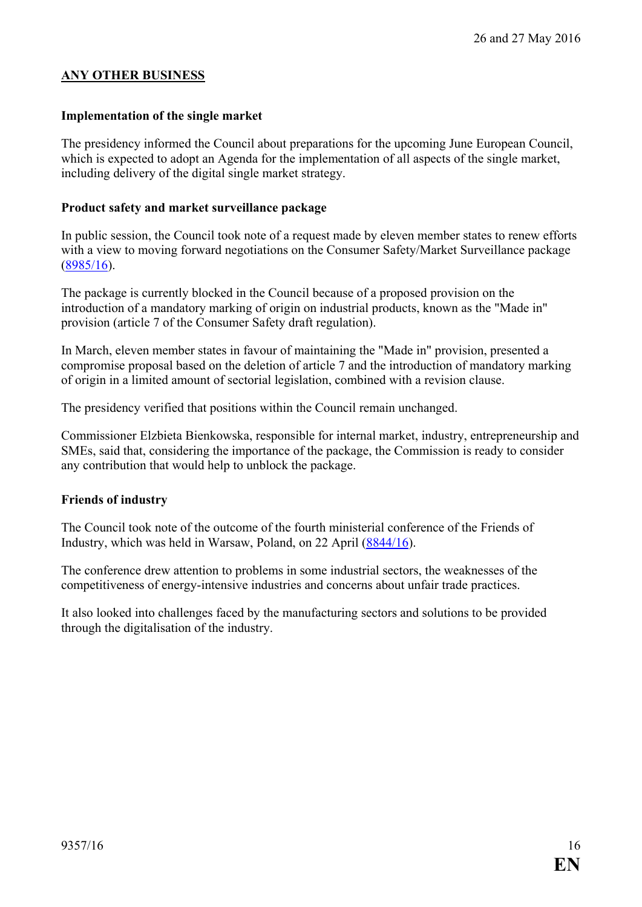#### <span id="page-15-0"></span>**ANY OTHER BUSINESS**

#### <span id="page-15-1"></span>**Implementation of the single market**

The presidency informed the Council about preparations for the upcoming June European Council, which is expected to adopt an Agenda for the implementation of all aspects of the single market, including delivery of the digital single market strategy.

#### <span id="page-15-2"></span>**Product safety and market surveillance package**

In public session, the Council took note of a request made by eleven member states to renew efforts with a view to moving forward negotiations on the Consumer Safety/Market Surveillance package [\(8985/16\)](http://data.consilium.europa.eu/doc/document/ST-8985-2016-INIT/en/pdf).

The package is currently blocked in the Council because of a proposed provision on the introduction of a mandatory marking of origin on industrial products, known as the "Made in" provision (article 7 of the Consumer Safety draft regulation).

In March, eleven member states in favour of maintaining the "Made in" provision, presented a compromise proposal based on the deletion of article 7 and the introduction of mandatory marking of origin in a limited amount of sectorial legislation, combined with a revision clause.

The presidency verified that positions within the Council remain unchanged.

Commissioner Elzbieta Bienkowska, responsible for internal market, industry, entrepreneurship and SMEs, said that, considering the importance of the package, the Commission is ready to consider any contribution that would help to unblock the package.

#### <span id="page-15-3"></span>**Friends of industry**

The Council took note of the outcome of the fourth ministerial conference of the Friends of Industry, which was held in Warsaw, Poland, on 22 April [\(8844/16\)](http://data.consilium.europa.eu/doc/document/ST-8844-2016-INIT/en/pdf).

The conference drew attention to problems in some industrial sectors, the weaknesses of the competitiveness of energy-intensive industries and concerns about unfair trade practices.

It also looked into challenges faced by the manufacturing sectors and solutions to be provided through the digitalisation of the industry.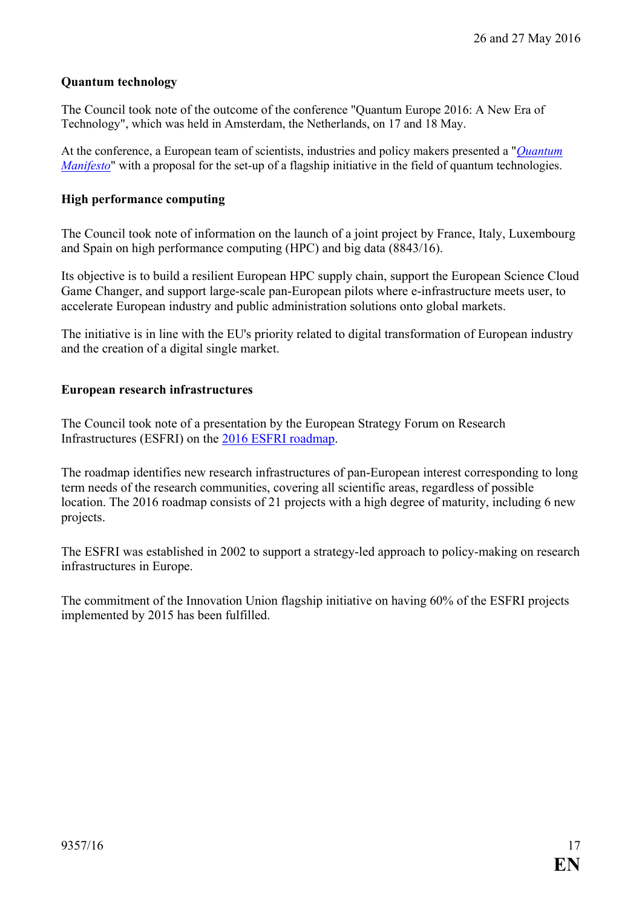#### <span id="page-16-0"></span>**Quantum technology**

The Council took note of the outcome of the conference "Quantum Europe 2016: A New Era of Technology", which was held in Amsterdam, the Netherlands, on 17 and 18 May.

At the conference, a European team of scientists, industries and policy makers presented a "*[Quantum](http://data.consilium.europa.eu/doc/document/ST-9243-2016-INIT/en/pdf)  [Manifesto](http://data.consilium.europa.eu/doc/document/ST-9243-2016-INIT/en/pdf)*" with a proposal for the set-up of a flagship initiative in the field of quantum technologies.

#### <span id="page-16-1"></span>**High performance computing**

The Council took note of information on the launch of a joint project by France, Italy, Luxembourg and Spain on high performance computing (HPC) and big data (8843/16).

Its objective is to build a resilient European HPC supply chain, support the European Science Cloud Game Changer, and support large-scale pan-European pilots where e-infrastructure meets user, to accelerate European industry and public administration solutions onto global markets.

The initiative is in line with the EU's priority related to digital transformation of European industry and the creation of a digital single market.

#### <span id="page-16-2"></span>**European research infrastructures**

The Council took note of a presentation by the European Strategy Forum on Research Infrastructures (ESFRI) on the [2016 ESFRI roadmap.](http://www.esfri.eu/roadmap-2016)

The roadmap identifies new research infrastructures of pan-European interest corresponding to long term needs of the research communities, covering all scientific areas, regardless of possible location. The 2016 roadmap consists of 21 projects with a high degree of maturity, including 6 new projects.

The ESFRI was established in 2002 to support a strategy-led approach to policy-making on research infrastructures in Europe.

The commitment of the Innovation Union flagship initiative on having 60% of the ESFRI projects implemented by 2015 has been fulfilled.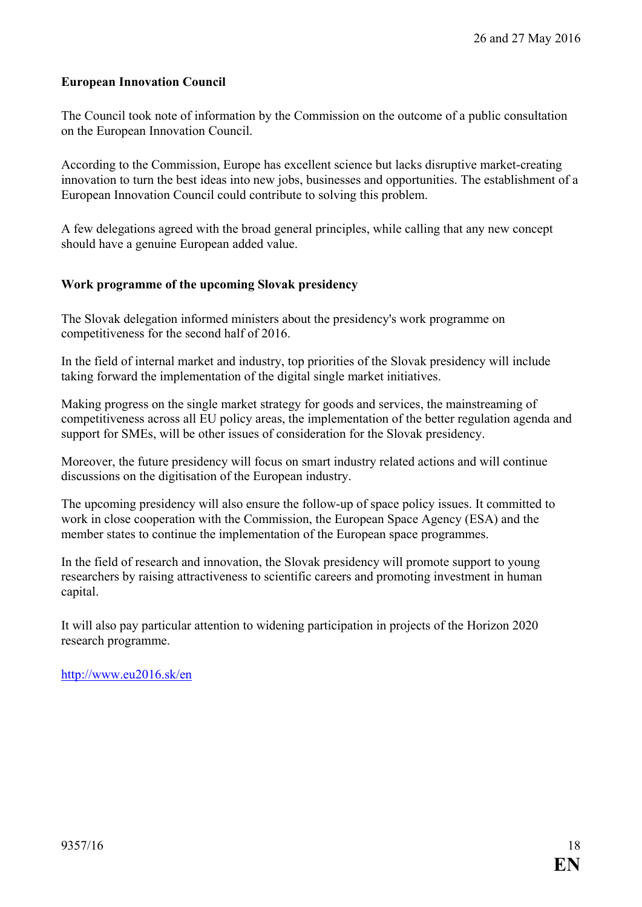#### <span id="page-17-0"></span>**European Innovation Council**

The Council took note of information by the Commission on the outcome of a public consultation on the European Innovation Council.

According to the Commission, Europe has excellent science but lacks disruptive market-creating innovation to turn the best ideas into new jobs, businesses and opportunities. The establishment of a European Innovation Council could contribute to solving this problem.

A few delegations agreed with the broad general principles, while calling that any new concept should have a genuine European added value.

#### <span id="page-17-1"></span>**Work programme of the upcoming Slovak presidency**

The Slovak delegation informed ministers about the presidency's work programme on competitiveness for the second half of 2016.

In the field of internal market and industry, top priorities of the Slovak presidency will include taking forward the implementation of the digital single market initiatives.

Making progress on the single market strategy for goods and services, the mainstreaming of competitiveness across all EU policy areas, the implementation of the better regulation agenda and support for SMEs, will be other issues of consideration for the Slovak presidency.

Moreover, the future presidency will focus on smart industry related actions and will continue discussions on the digitisation of the European industry.

The upcoming presidency will also ensure the follow-up of space policy issues. It committed to work in close cooperation with the Commission, the European Space Agency (ESA) and the member states to continue the implementation of the European space programmes.

In the field of research and innovation, the Slovak presidency will promote support to young researchers by raising attractiveness to scientific careers and promoting investment in human capital.

It will also pay particular attention to widening participation in projects of the Horizon 2020 research programme.

<http://www.eu2016.sk/en>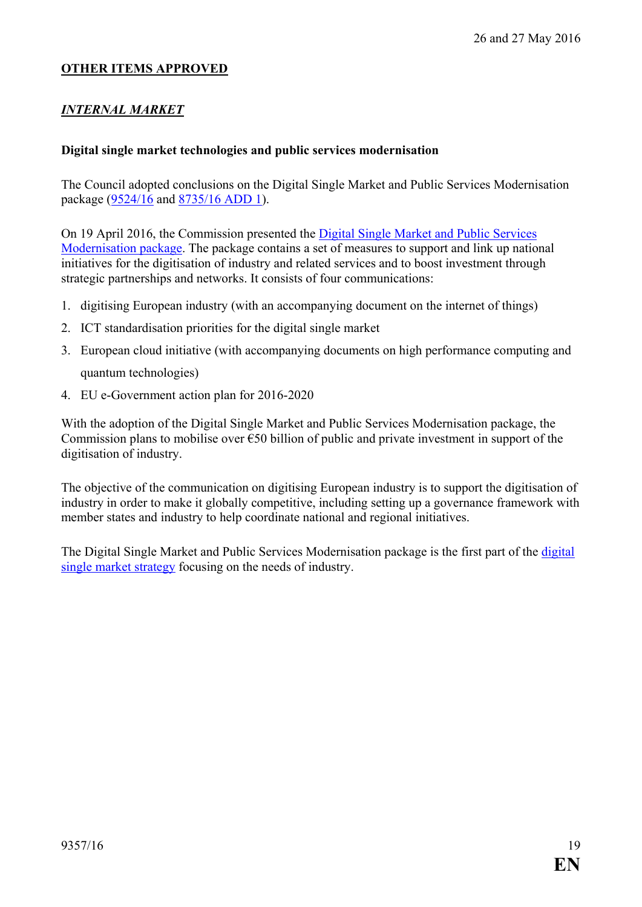### **OTHER ITEMS APPROVED**

### *INTERNAL MARKET*

#### <span id="page-18-0"></span>**Digital single market technologies and public services modernisation**

The Council adopted conclusions on the Digital Single Market and Public Services Modernisation package [\(9524/16](http://data.consilium.europa.eu/doc/document/ST-9524-2016-INIT/en/pdf) and [8735/16 ADD 1\)](http://data.consilium.europa.eu/doc/document/ST-8735-2016-ADD-1/en/pdf).

On 19 April 2016, the Commission presented the [Digital Single Market and Public Services](http://europa.eu/rapid/press-release_IP-16-1407_en.htm)  [Modernisation package.](http://europa.eu/rapid/press-release_IP-16-1407_en.htm) The package contains a set of measures to support and link up national initiatives for the digitisation of industry and related services and to boost investment through strategic partnerships and networks. It consists of four communications:

- 1. digitising European industry (with an accompanying document on the internet of things)
- 2. ICT standardisation priorities for the digital single market
- 3. European cloud initiative (with accompanying documents on high performance computing and quantum technologies)
- 4. EU e-Government action plan for 2016-2020

With the adoption of the Digital Single Market and Public Services Modernisation package, the Commission plans to mobilise over  $\epsilon$ 50 billion of public and private investment in support of the digitisation of industry.

The objective of the communication on digitising European industry is to support the digitisation of industry in order to make it globally competitive, including setting up a governance framework with member states and industry to help coordinate national and regional initiatives.

The Digital Single Market and Public Services Modernisation package is the first part of the [digital](http://www.consilium.europa.eu/en/policies/digital-single-market-strategy/)  [single market strategy](http://www.consilium.europa.eu/en/policies/digital-single-market-strategy/) focusing on the needs of industry.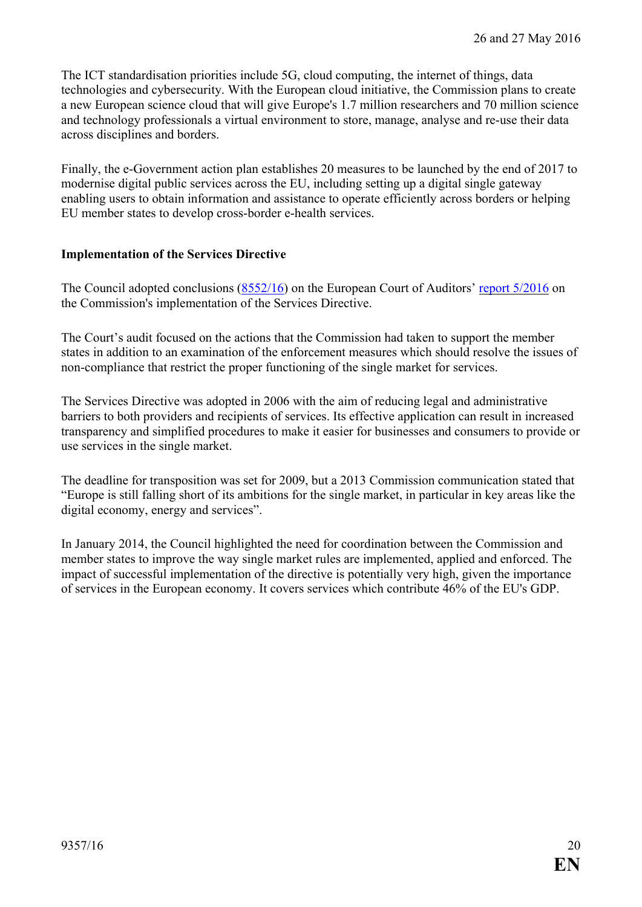The ICT standardisation priorities include 5G, cloud computing, the internet of things, data technologies and cybersecurity. With the European cloud initiative, the Commission plans to create a new European science cloud that will give Europe's 1.7 million researchers and 70 million science and technology professionals a virtual environment to store, manage, analyse and re-use their data across disciplines and borders.

Finally, the e-Government action plan establishes 20 measures to be launched by the end of 2017 to modernise digital public services across the EU, including setting up a digital single gateway enabling users to obtain information and assistance to operate efficiently across borders or helping EU member states to develop cross-border e-health services.

#### <span id="page-19-0"></span>**Implementation of the Services Directive**

The Council adopted conclusions [\(8552/16\)](http://data.consilium.europa.eu/doc/document/ST-8552-2016-INIT/en/pdf) on the European Court of Auditors' report [5/2016](http://www.eca.europa.eu/Lists/ECADocuments/SR16_05/SR_SERVICES_EN.pdf) on the Commission's implementation of the Services Directive.

The Court's audit focused on the actions that the Commission had taken to support the member states in addition to an examination of the enforcement measures which should resolve the issues of non-compliance that restrict the proper functioning of the single market for services.

The Services Directive was adopted in 2006 with the aim of reducing legal and administrative barriers to both providers and recipients of services. Its effective application can result in increased transparency and simplified procedures to make it easier for businesses and consumers to provide or use services in the single market.

The deadline for transposition was set for 2009, but a 2013 Commission communication stated that "Europe is still falling short of its ambitions for the single market, in particular in key areas like the digital economy, energy and services".

In January 2014, the Council highlighted the need for coordination between the Commission and member states to improve the way single market rules are implemented, applied and enforced. The impact of successful implementation of the directive is potentially very high, given the importance of services in the European economy. It covers services which contribute 46% of the EU's GDP.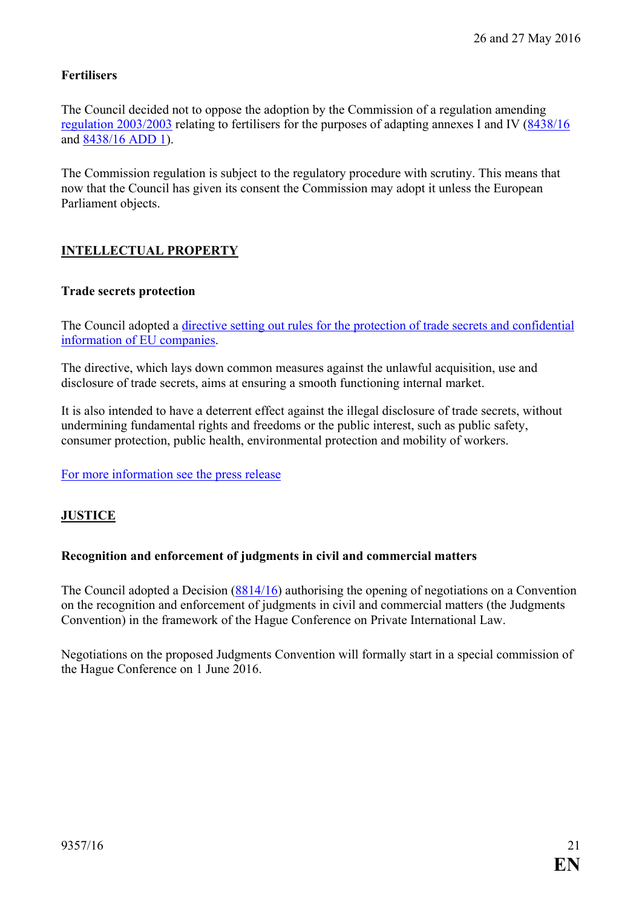## <span id="page-20-0"></span>**Fertilisers**

The Council decided not to oppose the adoption by the Commission of a regulation amending [regulation 2003/2003](http://eur-lex.europa.eu/legal-content/EN/TXT/?uri=OJ:L:2003:304:TOC) relating to fertilisers for the purposes of adapting annexes I and IV [\(8438/16](http://data.consilium.europa.eu/doc/document/ST-8438-2016-INIT/en/pdf) and [8438/16 ADD 1\)](http://data.consilium.europa.eu/doc/document/ST-8438-2016-ADD-1/en/pdf).

The Commission regulation is subject to the regulatory procedure with scrutiny. This means that now that the Council has given its consent the Commission may adopt it unless the European Parliament objects.

## **INTELLECTUAL PROPERTY**

#### <span id="page-20-1"></span>**Trade secrets protection**

The Council adopted a [directive setting out rules for the protection of trade secrets and confidential](http://data.consilium.europa.eu/doc/document/PE-76-2015-INIT/en/pdf)  [information of EU companies.](http://data.consilium.europa.eu/doc/document/PE-76-2015-INIT/en/pdf)

The directive, which lays down common measures against the unlawful acquisition, use and disclosure of trade secrets, aims at ensuring a smooth functioning internal market.

It is also intended to have a deterrent effect against the illegal disclosure of trade secrets, without undermining fundamental rights and freedoms or the public interest, such as public safety, consumer protection, public health, environmental protection and mobility of workers.

[For more information see](http://www.consilium.europa.eu/en/press/press-releases/2016/05/27-trade-secrets-new-directive/) the press release

### **JUSTICE**

#### <span id="page-20-2"></span>**Recognition and enforcement of judgments in civil and commercial matters**

The Council adopted a Decision [\(8814/16\)](http://data.consilium.europa.eu/doc/document/ST-8814-2016-INIT/en/pdf) authorising the opening of negotiations on a Convention on the recognition and enforcement of judgments in civil and commercial matters (the Judgments Convention) in the framework of the Hague Conference on Private International Law.

Negotiations on the proposed Judgments Convention will formally start in a special commission of the Hague Conference on 1 June 2016.